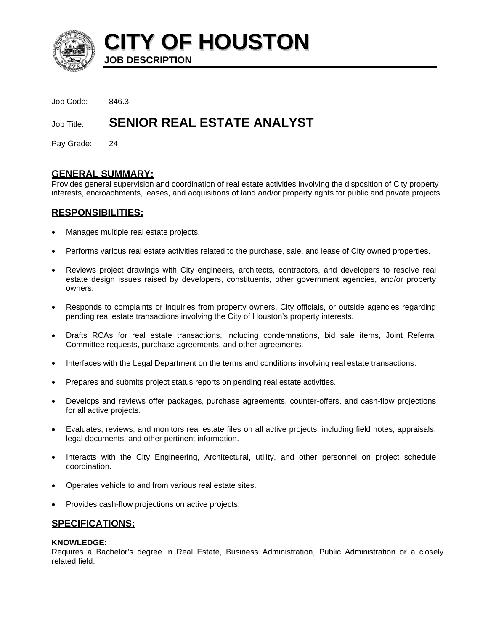

**CITY OF HOUSTON JOB DESCRIPTION** 

Job Code: 846.3

# Job Title: **SENIOR REAL ESTATE ANALYST**

Pay Grade: 24

# **GENERAL SUMMARY:**

Provides general supervision and coordination of real estate activities involving the disposition of City property interests, encroachments, leases, and acquisitions of land and/or property rights for public and private projects.

## **RESPONSIBILITIES:**

- Manages multiple real estate projects.
- Performs various real estate activities related to the purchase, sale, and lease of City owned properties.
- Reviews project drawings with City engineers, architects, contractors, and developers to resolve real estate design issues raised by developers, constituents, other government agencies, and/or property owners.
- Responds to complaints or inquiries from property owners, City officials, or outside agencies regarding pending real estate transactions involving the City of Houston's property interests.
- Drafts RCAs for real estate transactions, including condemnations, bid sale items, Joint Referral Committee requests, purchase agreements, and other agreements.
- Interfaces with the Legal Department on the terms and conditions involving real estate transactions.
- Prepares and submits project status reports on pending real estate activities.
- Develops and reviews offer packages, purchase agreements, counter-offers, and cash-flow projections for all active projects.
- Evaluates, reviews, and monitors real estate files on all active projects, including field notes, appraisals, legal documents, and other pertinent information.
- Interacts with the City Engineering, Architectural, utility, and other personnel on project schedule coordination.
- Operates vehicle to and from various real estate sites.
- Provides cash-flow projections on active projects.

# **SPECIFICATIONS:**

#### **KNOWLEDGE:**

Requires a Bachelor's degree in Real Estate, Business Administration, Public Administration or a closely related field.